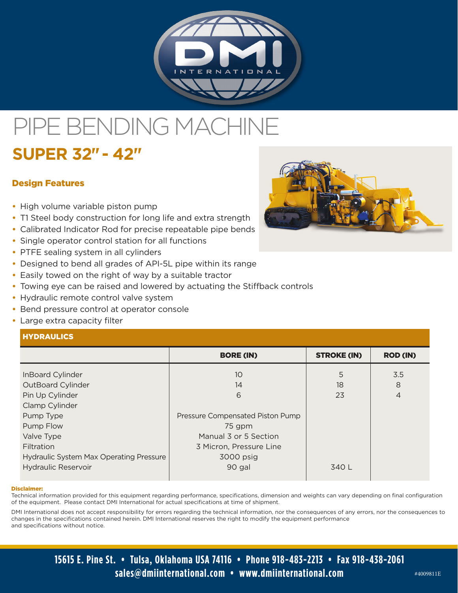

# PIPE BENDING MACH

# **SUPER 32" - 42"**

# Design Features

- **•** High volume variable piston pump
- **•** T1 Steel body construction for long life and extra strength
- **•** Calibrated Indicator Rod for precise repeatable pipe bends
- **•** Single operator control station for all functions
- **•** PTFE sealing system in all cylinders
- **•** Designed to bend all grades of API-5L pipe within its range
- **•** Easily towed on the right of way by a suitable tractor
- **•** Towing eye can be raised and lowered by actuating the Stiffback controls
- **•** Hydraulic remote control valve system
- **•** Bend pressure control at operator console
- **•** Large extra capacity filter

# **HYDRAULICS**

|                                         | <b>BORE (IN)</b>                 | <b>STROKE (IN)</b> | <b>ROD (IN)</b> |
|-----------------------------------------|----------------------------------|--------------------|-----------------|
|                                         |                                  |                    |                 |
| InBoard Cylinder                        | 10 <sup>°</sup>                  | 5                  | 3.5             |
| OutBoard Cylinder                       | 14                               | 18                 | 8               |
| Pin Up Cylinder                         | 6                                | 23                 | 4               |
| Clamp Cylinder                          |                                  |                    |                 |
| Pump Type                               | Pressure Compensated Piston Pump |                    |                 |
| Pump Flow                               | 75 gpm                           |                    |                 |
| Valve Type                              | Manual 3 or 5 Section            |                    |                 |
| Filtration                              | 3 Micron, Pressure Line          |                    |                 |
| Hydraulic System Max Operating Pressure | 3000 psig                        |                    |                 |
| <b>Hydraulic Reservoir</b>              | 90 gal                           | 340 L              |                 |
|                                         |                                  |                    |                 |

#### Disclaimer:

Technical information provided for this equipment regarding performance, specifications, dimension and weights can vary depending on final configuration of the equipment. Please contact DMI International for actual specifications at time of shipment.

DMI International does not accept responsibility for errors regarding the technical information, nor the consequences of any errors, nor the consequences to changes in the specifications contained herein. DMI International reserves the right to modify the equipment performance and specifications without notice.